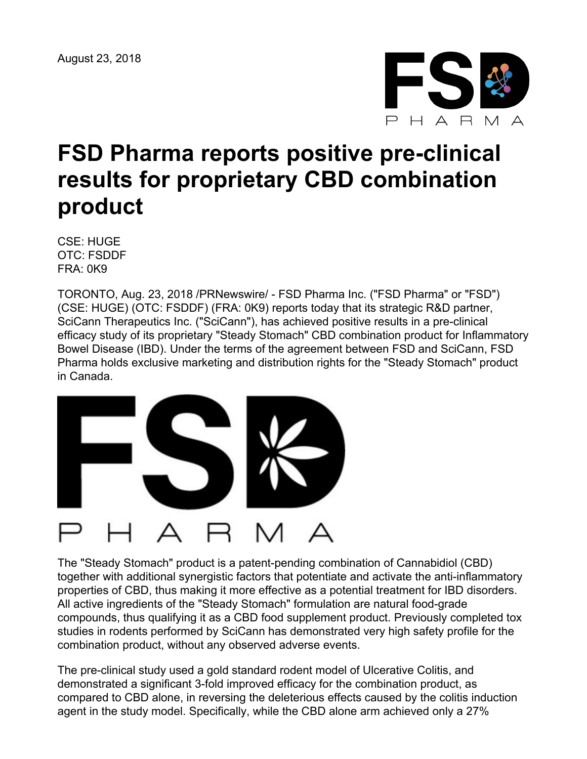

## **FSD Pharma reports positive pre-clinical results for proprietary CBD combination product**

CSE: HUGE OTC: FSDDF FRA: 0K9

TORONTO, Aug. 23, 2018 /PRNewswire/ - FSD Pharma Inc. ("FSD Pharma" or "FSD") (CSE: HUGE) (OTC: FSDDF) (FRA: 0K9) reports today that its strategic R&D partner, SciCann Therapeutics Inc. ("SciCann"), has achieved positive results in a pre-clinical efficacy study of its proprietary "Steady Stomach" CBD combination product for Inflammatory Bowel Disease (IBD). Under the terms of the agreement between FSD and SciCann, FSD Pharma holds exclusive marketing and distribution rights for the "Steady Stomach" product in Canada.



The "Steady Stomach" product is a patent-pending combination of Cannabidiol (CBD) together with additional synergistic factors that potentiate and activate the anti-inflammatory properties of CBD, thus making it more effective as a potential treatment for IBD disorders. All active ingredients of the "Steady Stomach" formulation are natural food-grade compounds, thus qualifying it as a CBD food supplement product. Previously completed tox studies in rodents performed by SciCann has demonstrated very high safety profile for the combination product, without any observed adverse events.

The pre-clinical study used a gold standard rodent model of Ulcerative Colitis, and demonstrated a significant 3-fold improved efficacy for the combination product, as compared to CBD alone, in reversing the deleterious effects caused by the colitis induction agent in the study model. Specifically, while the CBD alone arm achieved only a 27%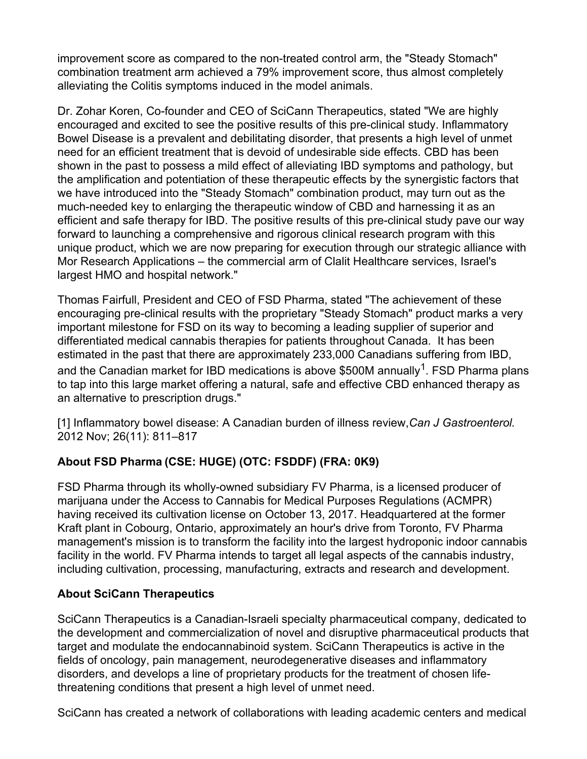improvement score as compared to the non-treated control arm, the "Steady Stomach" combination treatment arm achieved a 79% improvement score, thus almost completely alleviating the Colitis symptoms induced in the model animals.

Dr. Zohar Koren, Co-founder and CEO of SciCann Therapeutics, stated "We are highly encouraged and excited to see the positive results of this pre-clinical study. Inflammatory Bowel Disease is a prevalent and debilitating disorder, that presents a high level of unmet need for an efficient treatment that is devoid of undesirable side effects. CBD has been shown in the past to possess a mild effect of alleviating IBD symptoms and pathology, but the amplification and potentiation of these therapeutic effects by the synergistic factors that we have introduced into the "Steady Stomach" combination product, may turn out as the much-needed key to enlarging the therapeutic window of CBD and harnessing it as an efficient and safe therapy for IBD. The positive results of this pre-clinical study pave our way forward to launching a comprehensive and rigorous clinical research program with this unique product, which we are now preparing for execution through our strategic alliance with Mor Research Applications – the commercial arm of Clalit Healthcare services, Israel's largest HMO and hospital network."

Thomas Fairfull, President and CEO of FSD Pharma, stated "The achievement of these encouraging pre-clinical results with the proprietary "Steady Stomach" product marks a very important milestone for FSD on its way to becoming a leading supplier of superior and differentiated medical cannabis therapies for patients throughout Canada. It has been estimated in the past that there are approximately 233,000 Canadians suffering from IBD, and the Canadian market for IBD medications is above \$500M annually<sup>1</sup>. FSD Pharma plans to tap into this large market offering a natural, safe and effective CBD enhanced therapy as an alternative to prescription drugs."

[1] Inflammatory bowel disease: A Canadian burden of illness review,*Can J Gastroenterol.* 2012 Nov; 26(11): 811–817

## **About FSD Pharma (CSE: HUGE) (OTC: FSDDF) (FRA: 0K9)**

FSD Pharma through its wholly-owned subsidiary FV Pharma, is a licensed producer of marijuana under the Access to Cannabis for Medical Purposes Regulations (ACMPR) having received its cultivation license on October 13, 2017. Headquartered at the former Kraft plant in Cobourg, Ontario, approximately an hour's drive from Toronto, FV Pharma management's mission is to transform the facility into the largest hydroponic indoor cannabis facility in the world. FV Pharma intends to target all legal aspects of the cannabis industry, including cultivation, processing, manufacturing, extracts and research and development.

## **About SciCann Therapeutics**

SciCann Therapeutics is a Canadian-Israeli specialty pharmaceutical company, dedicated to the development and commercialization of novel and disruptive pharmaceutical products that target and modulate the endocannabinoid system. SciCann Therapeutics is active in the fields of oncology, pain management, neurodegenerative diseases and inflammatory disorders, and develops a line of proprietary products for the treatment of chosen lifethreatening conditions that present a high level of unmet need.

SciCann has created a network of collaborations with leading academic centers and medical